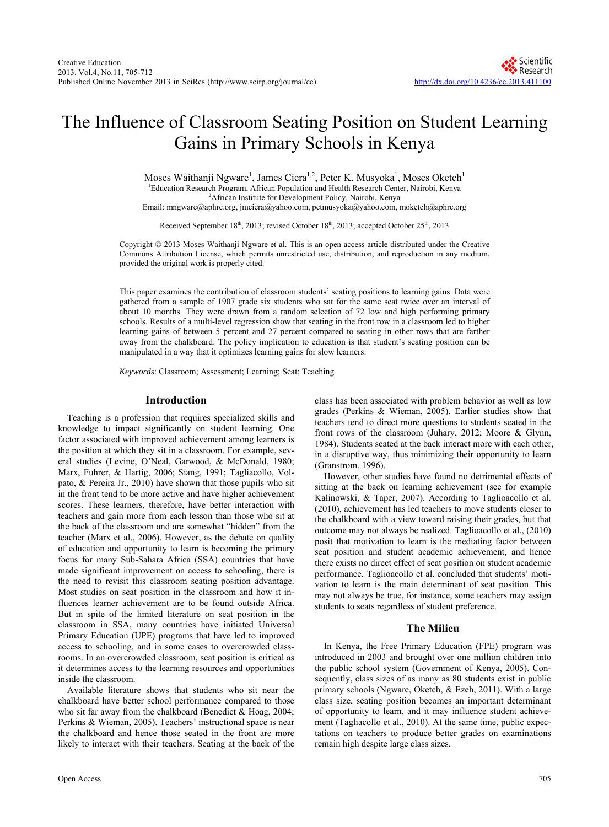# The Influence of Classroom Seating Position on Student Learning Gains in Primary Schools in Kenya

Moses Waithanji Ngware<sup>1</sup>, James Ciera<sup>1,2</sup>, Peter K. Musyoka<sup>1</sup>, Moses Oketch<sup>1</sup> <sup>1</sup>Education Research Program, African Population and Health Research Center, Nairobi, Kenya

<sup>2</sup>African Institute for Development Policy, Nairobi, Kenya

Email: mngware@aphrc.org, jmciera@yahoo.com, petmusyoka@yahoo.com, moketch@aphrc.org

Received September 18<sup>th</sup>, 2013; revised October 18<sup>th</sup>, 2013; accepted October 25<sup>th</sup>, 2013

Copyright © 2013 Moses Waithanji Ngware et al. This is an open access article distributed under the Creative Commons Attribution License, which permits unrestricted use, distribution, and reproduction in any medium, provided the original work is properly cited.

This paper examines the contribution of classroom students' seating positions to learning gains. Data were gathered from a sample of 1907 grade six students who sat for the same seat twice over an interval of about 10 months. They were drawn from a random selection of 72 low and high performing primary schools. Results of a multi-level regression show that seating in the front row in a classroom led to higher learning gains of between 5 percent and 27 percent compared to seating in other rows that are farther away from the chalkboard. The policy implication to education is that student's seating position can be manipulated in a way that it optimizes learning gains for slow learners.

*Keywords*: Classroom; Assessment; Learning; Seat; Teaching

## **Introduction**

Teaching is a profession that requires specialized skills and knowledge to impact significantly on student learning. One factor associated with improved achievement among learners is the position at which they sit in a classroom. For example, several studies (Levine, O'Neal, Garwood, & McDonald, 1980; Marx, Fuhrer, & Hartig, 2006; Siang, 1991; Tagliacollo, Volpato, & Pereira Jr., 2010) have shown that those pupils who sit in the front tend to be more active and have higher achievement scores. These learners, therefore, have better interaction with teachers and gain more from each lesson than those who sit at the back of the classroom and are somewhat "hidden" from the teacher (Marx et al., 2006). However, as the debate on quality of education and opportunity to learn is becoming the primary focus for many Sub-Sahara Africa (SSA) countries that have made significant improvement on access to schooling, there is the need to revisit this classroom seating position advantage. Most studies on seat position in the classroom and how it influences learner achievement are to be found outside Africa. But in spite of the limited literature on seat position in the classroom in SSA, many countries have initiated Universal Primary Education (UPE) programs that have led to improved access to schooling, and in some cases to overcrowded classrooms. In an overcrowded classroom, seat position is critical as it determines access to the learning resources and opportunities inside the classroom.

Available literature shows that students who sit near the chalkboard have better school performance compared to those who sit far away from the chalkboard (Benedict & Hoag, 2004; Perkins & Wieman, 2005). Teachers' instructional space is near the chalkboard and hence those seated in the front are more likely to interact with their teachers. Seating at the back of the class has been associated with problem behavior as well as low grades (Perkins & Wieman, 2005). Earlier studies show that teachers tend to direct more questions to students seated in the front rows of the classroom (Juhary, 2012; Moore & Glynn, 1984). Students seated at the back interact more with each other, in a disruptive way, thus minimizing their opportunity to learn (Granstrom, 1996).

However, other studies have found no detrimental effects of sitting at the back on learning achievement (see for example Kalinowski, & Taper, 2007). According to Taglioacollo et al. (2010), achievement has led teachers to move students closer to the chalkboard with a view toward raising their grades, but that outcome may not always be realized. Taglioacollo et al., (2010) posit that motivation to learn is the mediating factor between seat position and student academic achievement, and hence there exists no direct effect of seat position on student academic performance. Taglioacollo et al. concluded that students' motivation to learn is the main determinant of seat position. This may not always be true, for instance, some teachers may assign students to seats regardless of student preference.

## **The Milieu**

In Kenya, the Free Primary Education (FPE) program was introduced in 2003 and brought over one million children into the public school system (Government of Kenya, 2005). Consequently, class sizes of as many as 80 students exist in public primary schools (Ngware, Oketch, & Ezeh, 2011). With a large class size, seating position becomes an important determinant of opportunity to learn, and it may influence student achievement (Tagliacollo et al., 2010). At the same time, public expectations on teachers to produce better grades on examinations remain high despite large class sizes.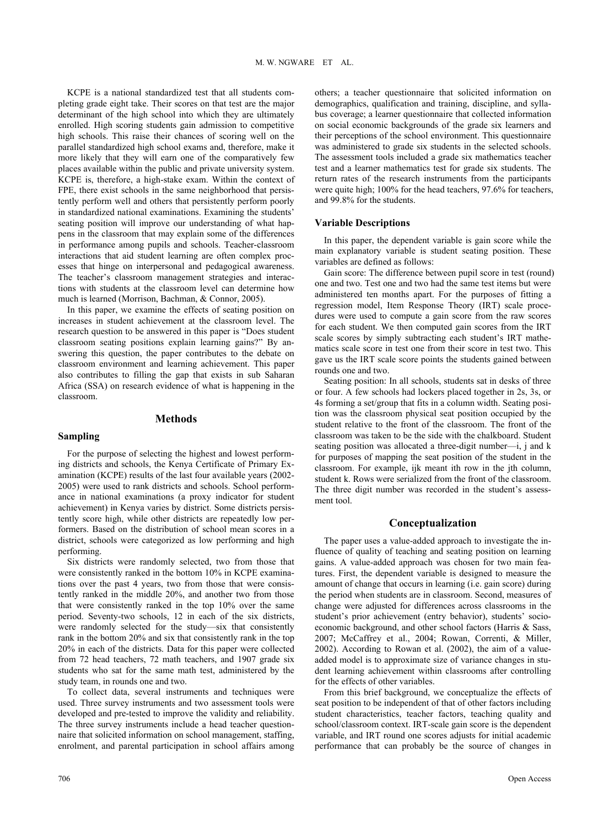KCPE is a national standardized test that all students completing grade eight take. Their scores on that test are the major determinant of the high school into which they are ultimately enrolled. High scoring students gain admission to competitive high schools. This raise their chances of scoring well on the parallel standardized high school exams and, therefore, make it more likely that they will earn one of the comparatively few places available within the public and private university system. KCPE is, therefore, a high-stake exam. Within the context of FPE, there exist schools in the same neighborhood that persistently perform well and others that persistently perform poorly in standardized national examinations. Examining the students' seating position will improve our understanding of what happens in the classroom that may explain some of the differences in performance among pupils and schools. Teacher-classroom interactions that aid student learning are often complex processes that hinge on interpersonal and pedagogical awareness. The teacher's classroom management strategies and interactions with students at the classroom level can determine how much is learned (Morrison, Bachman, & Connor, 2005).

In this paper, we examine the effects of seating position on increases in student achievement at the classroom level. The research question to be answered in this paper is "Does student classroom seating positions explain learning gains?" By answering this question, the paper contributes to the debate on classroom environment and learning achievement. This paper also contributes to filling the gap that exists in sub Saharan Africa (SSA) on research evidence of what is happening in the classroom.

# **Methods**

## **Sampling**

# For the purpose of selecting the highest and lowest performing districts and schools, the Kenya Certificate of Primary Examination (KCPE) results of the last four available years (2002- 2005) were used to rank districts and schools. School performance in national examinations (a proxy indicator for student achievement) in Kenya varies by district. Some districts persis-

tently score high, while other districts are repeatedly low performers. Based on the distribution of school mean scores in a district, schools were categorized as low performing and high performing.

Six districts were randomly selected, two from those that were consistently ranked in the bottom 10% in KCPE examinations over the past 4 years, two from those that were consistently ranked in the middle 20%, and another two from those that were consistently ranked in the top 10% over the same period. Seventy-two schools, 12 in each of the six districts, were randomly selected for the study—six that consistently rank in the bottom 20% and six that consistently rank in the top 20% in each of the districts. Data for this paper were collected from 72 head teachers, 72 math teachers, and 1907 grade six students who sat for the same math test, administered by the study team, in rounds one and two.

To collect data, several instruments and techniques were used. Three survey instruments and two assessment tools were developed and pre-tested to improve the validity and reliability. The three survey instruments include a head teacher questionnaire that solicited information on school management, staffing, enrolment, and parental participation in school affairs among others; a teacher questionnaire that solicited information on demographics, qualification and training, discipline, and syllabus coverage; a learner questionnaire that collected information on social economic backgrounds of the grade six learners and their perceptions of the school environment. This questionnaire was administered to grade six students in the selected schools. The assessment tools included a grade six mathematics teacher test and a learner mathematics test for grade six students. The return rates of the research instruments from the participants were quite high; 100% for the head teachers, 97.6% for teachers, and 99.8% for the students.

## **Variable Descriptions**

In this paper, the dependent variable is gain score while the main explanatory variable is student seating position. These variables are defined as follows:

Gain score: The difference between pupil score in test (round) one and two. Test one and two had the same test items but were administered ten months apart. For the purposes of fitting a regression model, Item Response Theory (IRT) scale procedures were used to compute a gain score from the raw scores for each student. We then computed gain scores from the IRT scale scores by simply subtracting each student's IRT mathematics scale score in test one from their score in test two. This gave us the IRT scale score points the students gained between rounds one and two.

Seating position: In all schools, students sat in desks of three or four. A few schools had lockers placed together in 2s, 3s, or 4s forming a set/group that fits in a column width. Seating position was the classroom physical seat position occupied by the student relative to the front of the classroom. The front of the classroom was taken to be the side with the chalkboard. Student seating position was allocated a three-digit number—i, j and k for purposes of mapping the seat position of the student in the classroom. For example, ijk meant ith row in the jth column, student k. Rows were serialized from the front of the classroom. The three digit number was recorded in the student's assessment tool.

## **Conceptualization**

The paper uses a value-added approach to investigate the influence of quality of teaching and seating position on learning gains. A value-added approach was chosen for two main features. First, the dependent variable is designed to measure the amount of change that occurs in learning (i.e. gain score) during the period when students are in classroom. Second, measures of change were adjusted for differences across classrooms in the student's prior achievement (entry behavior), students' socioeconomic background, and other school factors (Harris & Sass, 2007; McCaffrey et al., 2004; Rowan, Correnti, & Miller, 2002). According to Rowan et al. (2002), the aim of a valueadded model is to approximate size of variance changes in student learning achievement within classrooms after controlling for the effects of other variables.

From this brief background, we conceptualize the effects of seat position to be independent of that of other factors including student characteristics, teacher factors, teaching quality and school/classroom context. IRT-scale gain score is the dependent variable, and IRT round one scores adjusts for initial academic performance that can probably be the source of changes in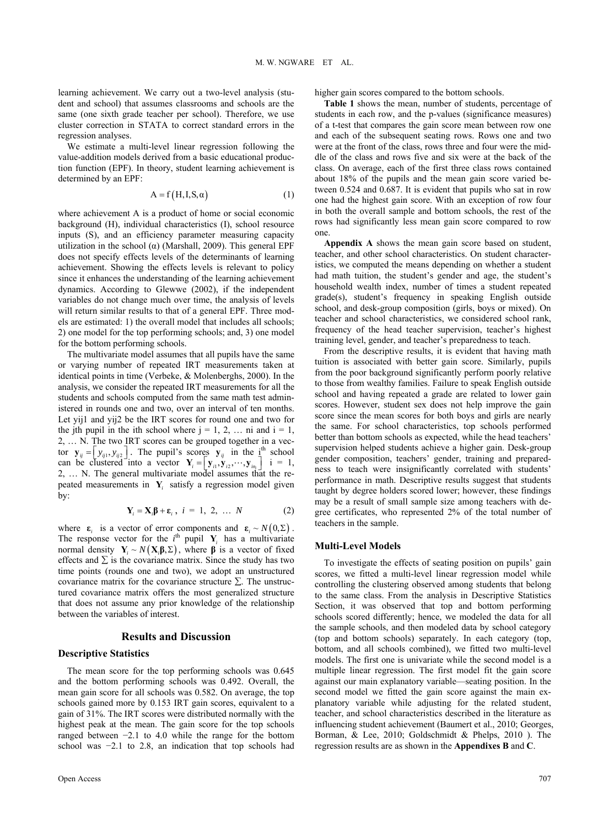learning achievement. We carry out a two-level analysis (student and school) that assumes classrooms and schools are the same (one sixth grade teacher per school). Therefore, we use cluster correction in STATA to correct standard errors in the regression analyses.

We estimate a multi-level linear regression following the value-addition models derived from a basic educational production function (EPF). In theory, student learning achievement is determined by an EPF:

$$
A = f(H, I, S, \alpha) \tag{1}
$$

where achievement A is a product of home or social economic background (H), individual characteristics (I), school resource inputs (S), and an efficiency parameter measuring capacity utilization in the school (α) (Marshall, 2009). This general EPF does not specify effects levels of the determinants of learning achievement. Showing the effects levels is relevant to policy since it enhances the understanding of the learning achievement dynamics. According to Glewwe (2002), if the independent variables do not change much over time, the analysis of levels will return similar results to that of a general EPF. Three models are estimated: 1) the overall model that includes all schools; 2) one model for the top performing schools; and, 3) one model for the bottom performing schools.

The multivariate model assumes that all pupils have the same or varying number of repeated IRT measurements taken at identical points in time (Verbeke, & Molenberghs, 2000). In the analysis, we consider the repeated IRT measurements for all the students and schools computed from the same math test administered in rounds one and two, over an interval of ten months. Let yij1 and yij2 be the IRT scores for round one and two for the jth pupil in the ith school where  $j = 1, 2, \ldots$  ni and  $i = 1$ , 2, … N. The two IRT scores can be grouped together in a vector  $\mathbf{y}_{ij} = \begin{bmatrix} y_{ij1}, y_{ij2} \end{bmatrix}$ . The pupil's scores  $\mathbf{y}_{ij}$  in the  $\mathbf{I}^{\text{th}}$  school can be clustered into a vector  $\mathbf{Y}_i = \begin{bmatrix} \mathbf{y}_{i1}, \mathbf{y}_{i2}, \cdots, \mathbf{y}_{in_i} \end{bmatrix}$  i = 1, 2, … N. The general multivariate model assumes that the repeated measurements in  $Y_i$  satisfy a regression model given by:  $\mathbf{y}_{ij} = \begin{bmatrix} y_{ij1}, y_{ij2} \end{bmatrix}$ . The pupil's scores  $\mathbf{y}_{ij}$  $\mathbf{Y}_{i} = \left[ \mathbf{y}_{i1}, \mathbf{y}_{i2}, \cdots, \mathbf{y}_{in_{i}} \right]$ 

$$
\mathbf{Y}_{i} = \mathbf{X}_{i}\mathbf{\beta} + \mathbf{\varepsilon}_{i}, \ i = 1, 2, \dots N \tag{2}
$$

where  $\epsilon_i$  is a vector of error components and  $\epsilon_i \sim N(0, \Sigma)$ . The response vector for the  $i<sup>th</sup>$  pupil  $Y_i$  has a multivariate normal density **Y**  $Y_i \sim N(X_i \beta, \Sigma)$ , where  $\beta$  is a vector of fixed effects and  $\Sigma$  is the covariance matrix. Since the study has two time points (rounds one and two), we adopt an unstructured covariance matrix for the covariance structure  $\Sigma$ . The unstructured covariance matrix offers the most generalized structure that does not assume any prior knowledge of the relationship between the variables of interest.

## **Results and Discussion**

# **Descriptive Statistics**

The mean score for the top performing schools was 0.645 and the bottom performing schools was 0.492. Overall, the mean gain score for all schools was 0.582. On average, the top schools gained more by 0.153 IRT gain scores, equivalent to a gain of 31%. The IRT scores were distributed normally with the highest peak at the mean. The gain score for the top schools ranged between −2.1 to 4.0 while the range for the bottom school was  $-2.1$  to 2.8, an indication that top schools had higher gain scores compared to the bottom schools.

**Table 1** shows the mean, number of students, percentage of students in each row, and the p-values (significance measures) of a t-test that compares the gain score mean between row one and each of the subsequent seating rows. Rows one and two were at the front of the class, rows three and four were the middle of the class and rows five and six were at the back of the class. On average, each of the first three class rows contained about 18% of the pupils and the mean gain score varied between 0.524 and 0.687. It is evident that pupils who sat in row one had the highest gain score. With an exception of row four in both the overall sample and bottom schools, the rest of the rows had significantly less mean gain score compared to row one.

**Appendix A** shows the mean gain score based on student, teacher, and other school characteristics. On student characteristics, we computed the means depending on whether a student had math tuition, the student's gender and age, the student's household wealth index, number of times a student repeated grade(s), student's frequency in speaking English outside school, and desk-group composition (girls, boys or mixed). On teacher and school characteristics, we considered school rank, frequency of the head teacher supervision, teacher's highest training level, gender, and teacher's preparedness to teach.

From the descriptive results, it is evident that having math tuition is associated with better gain score. Similarly, pupils from the poor background significantly perform poorly relative to those from wealthy families. Failure to speak English outside school and having repeated a grade are related to lower gain scores. However, student sex does not help improve the gain score since the mean scores for both boys and girls are nearly the same. For school characteristics, top schools performed better than bottom schools as expected, while the head teachers' supervision helped students achieve a higher gain. Desk-group gender composition, teachers' gender, training and preparedness to teach were insignificantly correlated with students' performance in math. Descriptive results suggest that students taught by degree holders scored lower; however, these findings may be a result of small sample size among teachers with degree certificates, who represented 2% of the total number of teachers in the sample.

## **Multi-Level Models**

To investigate the effects of seating position on pupils' gain scores, we fitted a multi-level linear regression model while controlling the clustering observed among students that belong to the same class. From the analysis in Descriptive Statistics Section, it was observed that top and bottom performing schools scored differently; hence, we modeled the data for all the sample schools, and then modeled data by school category (top and bottom schools) separately. In each category (top, bottom, and all schools combined), we fitted two multi-level models. The first one is univariate while the second model is a multiple linear regression. The first model fit the gain score against our main explanatory variable—seating position. In the second model we fitted the gain score against the main explanatory variable while adjusting for the related student, teacher, and school characteristics described in the literature as influencing student achievement (Baumert et al., 2010; Georges, Borman, & Lee, 2010; Goldschmidt & Phelps, 2010 ). The regression results are as shown in the **Appendixes B** and **C**.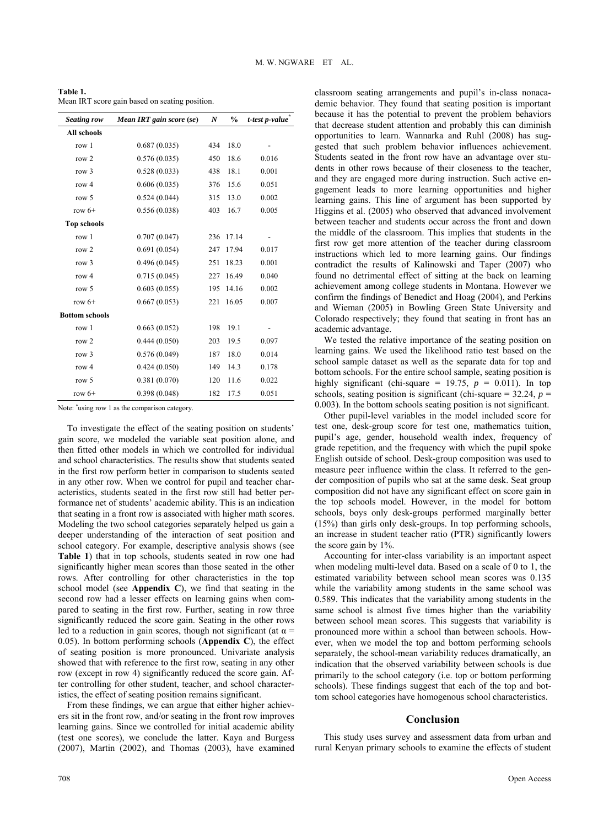| Table 1.                                       |  |
|------------------------------------------------|--|
| Mean IRT score gain based on seating position. |  |

| <b>Seating row</b>    | Mean IRT gain score (se) | $\boldsymbol{N}$ | $\frac{0}{0}$ | t-test p-value |
|-----------------------|--------------------------|------------------|---------------|----------------|
| <b>All schools</b>    |                          |                  |               |                |
| row 1                 | 0.687(0.035)             | 434              | 18.0          |                |
| row 2                 | 0.576(0.035)             | 450              | 18.6          | 0.016          |
| row 3                 | 0.528(0.033)             | 438              | 18.1          | 0.001          |
| row 4                 | 0.606(0.035)             | 376              | 15.6          | 0.051          |
| row 5                 | 0.524(0.044)             | 315              | 13.0          | 0.002          |
| row $6+$              | 0.556(0.038)             | 403              | 16.7          | 0.005          |
| <b>Top schools</b>    |                          |                  |               |                |
| row 1                 | 0.707(0.047)             | 236              | 17.14         |                |
| row 2                 | 0.691(0.054)             | 247              | 17.94         | 0.017          |
| row $3$               | 0.496(0.045)             | 251              | 18.23         | 0.001          |
| row 4                 | 0.715(0.045)             | 227              | 16.49         | 0.040          |
| row 5                 | 0.603(0.055)             | 195              | 14.16         | 0.002          |
| row $6+$              | 0.667(0.053)             | 221              | 16.05         | 0.007          |
| <b>Bottom schools</b> |                          |                  |               |                |
| row 1                 | 0.663(0.052)             | 198              | 19.1          |                |
| row 2                 | 0.444(0.050)             | 203              | 19.5          | 0.097          |
| row $3$               | 0.576(0.049)             | 187              | 18.0          | 0.014          |
| row 4                 | 0.424(0.050)             | 149              | 14.3          | 0.178          |
| row 5                 | 0.381(0.070)             | 120              | 11.6          | 0.022          |
| row $6+$              | 0.398(0.048)             | 182              | 17.5          | 0.051          |

Note: \* using row 1 as the comparison category.

To investigate the effect of the seating position on students' gain score, we modeled the variable seat position alone, and then fitted other models in which we controlled for individual and school characteristics. The results show that students seated in the first row perform better in comparison to students seated in any other row. When we control for pupil and teacher characteristics, students seated in the first row still had better performance net of students' academic ability. This is an indication that seating in a front row is associated with higher math scores. Modeling the two school categories separately helped us gain a deeper understanding of the interaction of seat position and school category. For example, descriptive analysis shows (see **Table 1**) that in top schools, students seated in row one had significantly higher mean scores than those seated in the other rows. After controlling for other characteristics in the top school model (see **Appendix C**), we find that seating in the second row had a lesser effects on learning gains when compared to seating in the first row. Further, seating in row three significantly reduced the score gain. Seating in the other rows led to a reduction in gain scores, though not significant (at  $\alpha$  = 0.05). In bottom performing schools (**Appendix C**), the effect of seating position is more pronounced. Univariate analysis showed that with reference to the first row, seating in any other row (except in row 4) significantly reduced the score gain. After controlling for other student, teacher, and school characteristics, the effect of seating position remains significant.

From these findings, we can argue that either higher achievers sit in the front row, and/or seating in the front row improves learning gains. Since we controlled for initial academic ability (test one scores), we conclude the latter. Kaya and Burgess (2007), Martin (2002), and Thomas (2003), have examined classroom seating arrangements and pupil's in-class nonacademic behavior. They found that seating position is important because it has the potential to prevent the problem behaviors that decrease student attention and probably this can diminish opportunities to learn. Wannarka and Ruhl (2008) has suggested that such problem behavior influences achievement. Students seated in the front row have an advantage over students in other rows because of their closeness to the teacher, and they are engaged more during instruction. Such active engagement leads to more learning opportunities and higher learning gains. This line of argument has been supported by Higgins et al. (2005) who observed that advanced involvement between teacher and students occur across the front and down the middle of the classroom. This implies that students in the first row get more attention of the teacher during classroom instructions which led to more learning gains. Our findings contradict the results of Kalinowski and Taper (2007) who found no detrimental effect of sitting at the back on learning achievement among college students in Montana. However we confirm the findings of Benedict and Hoag (2004), and Perkins and Wieman (2005) in Bowling Green State University and Colorado respectively; they found that seating in front has an academic advantage.

We tested the relative importance of the seating position on learning gains. We used the likelihood ratio test based on the school sample dataset as well as the separate data for top and bottom schools. For the entire school sample, seating position is highly significant (chi-square =  $19.75$ ,  $p = 0.011$ ). In top schools, seating position is significant (chi-square  $=$  32.24,  $p =$ 0.003). In the bottom schools seating position is not significant.

Other pupil-level variables in the model included score for test one, desk-group score for test one, mathematics tuition, pupil's age, gender, household wealth index, frequency of grade repetition, and the frequency with which the pupil spoke English outside of school. Desk-group composition was used to measure peer influence within the class. It referred to the gender composition of pupils who sat at the same desk. Seat group composition did not have any significant effect on score gain in the top schools model. However, in the model for bottom schools, boys only desk-groups performed marginally better (15%) than girls only desk-groups. In top performing schools, an increase in student teacher ratio (PTR) significantly lowers the score gain by 1%.

Accounting for inter-class variability is an important aspect when modeling multi-level data. Based on a scale of 0 to 1, the estimated variability between school mean scores was 0.135 while the variability among students in the same school was 0.589. This indicates that the variability among students in the same school is almost five times higher than the variability between school mean scores. This suggests that variability is pronounced more within a school than between schools. However, when we model the top and bottom performing schools separately, the school-mean variability reduces dramatically, an indication that the observed variability between schools is due primarily to the school category (i.e. top or bottom performing schools). These findings suggest that each of the top and bottom school categories have homogenous school characteristics.

### **Conclusion**

This study uses survey and assessment data from urban and rural Kenyan primary schools to examine the effects of student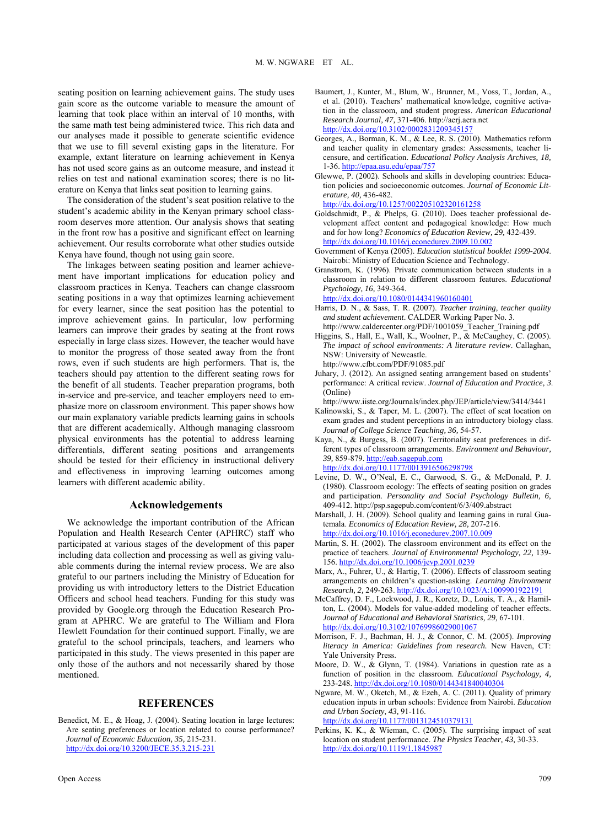seating position on learning achievement gains. The study uses gain score as the outcome variable to measure the amount of learning that took place within an interval of 10 months, with the same math test being administered twice. This rich data and our analyses made it possible to generate scientific evidence that we use to fill several existing gaps in the literature. For example, extant literature on learning achievement in Kenya has not used score gains as an outcome measure, and instead it relies on test and national examination scores; there is no literature on Kenya that links seat position to learning gains.

The consideration of the student's seat position relative to the student's academic ability in the Kenyan primary school classroom deserves more attention. Our analysis shows that seating in the front row has a positive and significant effect on learning achievement. Our results corroborate what other studies outside Kenya have found, though not using gain score.

The linkages between seating position and learner achievement have important implications for education policy and classroom practices in Kenya. Teachers can change classroom seating positions in a way that optimizes learning achievement for every learner, since the seat position has the potential to improve achievement gains. In particular, low performing learners can improve their grades by seating at the front rows especially in large class sizes. However, the teacher would have to monitor the progress of those seated away from the front rows, even if such students are high performers. That is, the teachers should pay attention to the different seating rows for the benefit of all students. Teacher preparation programs, both in-service and pre-service, and teacher employers need to emphasize more on classroom environment. This paper shows how our main explanatory variable predicts learning gains in schools that are different academically. Although managing classroom physical environments has the potential to address learning differentials, different seating positions and arrangements should be tested for their efficiency in instructional delivery and effectiveness in improving learning outcomes among learners with different academic ability.

## **Acknowledgements**

We acknowledge the important contribution of the African Population and Health Research Center (APHRC) staff who participated at various stages of the development of this paper including data collection and processing as well as giving valuable comments during the internal review process. We are also grateful to our partners including the Ministry of Education for providing us with introductory letters to the District Education Officers and school head teachers. Funding for this study was provided by Google.org through the Education Research Program at APHRC. We are grateful to The William and Flora Hewlett Foundation for their continued support. Finally, we are grateful to the school principals, teachers, and learners who participated in this study. The views presented in this paper are only those of the authors and not necessarily shared by those mentioned.

## **REFERENCES**

Benedict, M. E., & Hoag, J. (2004). Seating location in large lectures: Are seating preferences or location related to course performance? *Journal of Economic Education, 35,* 215-231. <http://dx.doi.org/10.3200/JECE.35.3.215-231>

Open Access 709

- Baumert, J., Kunter, M., Blum, W., Brunner, M., Voss, T., Jordan, A., et al. (2010). Teachers' mathematical knowledge, cognitive activation in the classroom, and student progress. *American Educational Research Journal, 47,* 371-406. http://aerj.aera.net <http://dx.doi.org/10.3102/0002831209345157>
- Georges, A., Borman, K. M., & Lee, R. S. (2010). Mathematics reform and teacher quality in elementary grades: Assessments, teacher licensure, and certification. *Educational Policy Analysis Archives, 18,*  1-36.<http://epaa.asu.edu/epaa/757>
- Glewwe, P. (2002). Schools and skills in developing countries: Education policies and socioeconomic outcomes. *Journal of Economic Literature, 40,* 436-482.

<http://dx.doi.org/10.1257/002205102320161258>

- Goldschmidt, P., & Phelps, G. (2010). Does teacher professional development affect content and pedagogical knowledge: How much and for how long? *Economics of Education Review, 29,* 432-439. <http://dx.doi.org/10.1016/j.econedurev.2009.10.002>
- Government of Kenya (2005). *Education statistical booklet 1999-2004*. Nairobi: Ministry of Education Science and Technology.
- Granstrom, K. (1996). Private communication between students in a classroom in relation to different classroom features. *Educational Psychology, 16,* 349-364.

<http://dx.doi.org/10.1080/0144341960160401>

- Harris, D. N., & Sass, T. R. (2007). *Teacher training, teacher quality and student achievement*. CALDER Working Paper No. 3. http://www.caldercenter.org/PDF/1001059\_Teacher\_Training.pdf
- Higgins, S., Hall, E., Wall, K., Woolner, P., & McCaughey, C. (2005). *The impact of school environments: A literature review*. Callaghan, NSW: University of Newcastle.

http://www.cfbt.com/PDF/91085.pdf

Juhary, J. (2012). An assigned seating arrangement based on students' performance: A critical review. *Journal of Education and Practice, 3*. (Online)

http://www.iiste.org/Journals/index.php/JEP/article/view/3414/3441

- Kalinowski, S., & Taper, M. L. (2007). The effect of seat location on exam grades and student perceptions in an introductory biology class. *Journal of College Science Teaching, 36,* 54-57.
- Kaya, N., & Burgess, B. (2007). Territoriality seat preferences in different types of classroom arrangements. *Environment and Behaviour, 39,* 859-879. [http://eab.sagepub.com](http://eab.sagepub.com/)  <http://dx.doi.org/10.1177/0013916506298798>

Levine, D. W., O'Neal, E. C., Garwood, S. G., & McDonald, P. J. (1980). Classroom ecology: The effects of seating position on grades and participation. *Personality and Social Psychology Bulletin, 6,* 409-412. http://psp.sagepub.com/content/6/3/409.abstract

Marshall, J. H. (2009). School quality and learning gains in rural Guatemala. *Economics of Education Review, 28,* 207-216. <http://dx.doi.org/10.1016/j.econedurev.2007.10.009>

Martin, S. H. (2002). The classroom environment and its effect on the practice of teachers. *Journal of Environmental Psychology, 22,* 139-

- 156. <http://dx.doi.org/10.1006/jevp.2001.0239> Marx, A., Fuhrer, U., & Hartig, T. (2006). Effects of classroom seating arrangements on children's question-asking. *Learning Environment Research, 2,* 249-263.<http://dx.doi.org/10.1023/A:1009901922191>
- McCaffrey, D. F., Lockwood, J. R., Koretz, D., Louis, T. A., & Hamilton, L. (2004). Models for value-added modeling of teacher effects. *Journal of Educational and Behavioral Statistics, 29,* 67-101. <http://dx.doi.org/10.3102/10769986029001067>
- Morrison, F. J., Bachman, H. J., & Connor, C. M. (2005). *Improving literacy in America: Guidelines from research.* New Haven, CT: Yale University Press.
- Moore, D. W., & Glynn, T. (1984). Variations in question rate as a function of position in the classroom. *Educational Psychology, 4,* 233-248.<http://dx.doi.org/10.1080/0144341840040304>
- Ngware, M. W., Oketch, M., & Ezeh, A. C. (2011). Quality of primary education inputs in urban schools: Evidence from Nairobi. *Education and Urban Society, 43,* 91-116. <http://dx.doi.org/10.1177/0013124510379131>
- Perkins, K. K., & Wieman, C. (2005). The surprising impact of seat location on student performance. *The Physics Teacher, 43,* 30-33. <http://dx.doi.org/10.1119/1.1845987>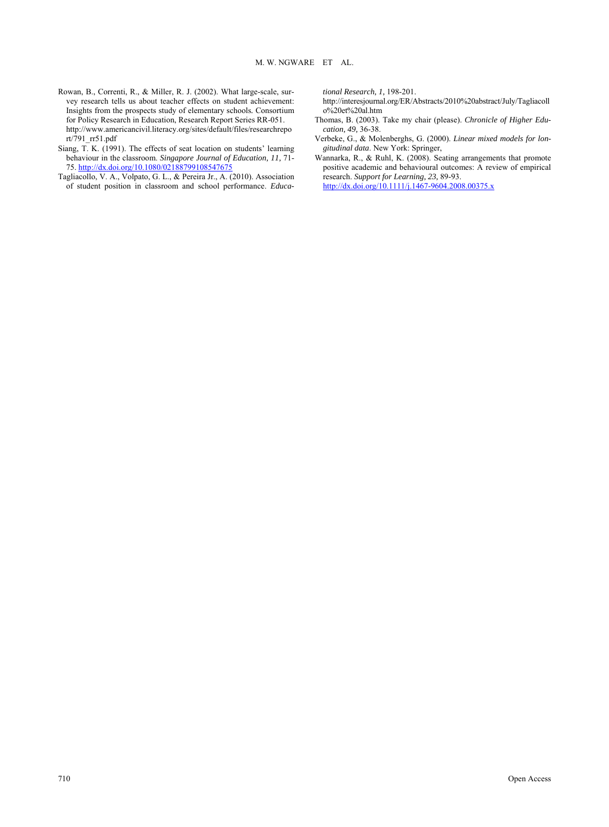- Rowan, B., Correnti, R., & Miller, R. J. (2002). What large-scale, survey research tells us about teacher effects on student achievement: Insights from the prospects study of elementary schools*.* Consortium for Policy Research in Education, Research Report Series RR-051. http://www.americancivil.literacy.org/sites/default/files/researchrepo rt/791\_rr51.pdf
- Siang,  $\overline{T}$ , K. (1991). The effects of seat location on students' learning behaviour in the classroom. *Singapore Journal of Education, 11,* 71- 75. <http://dx.doi.org/10.1080/02188799108547675>
- Tagliacollo, V. A., Volpato, G. L., & Pereira Jr., A. (2010). Association of student position in classroom and school performance. *Educa-*

*tional Research, 1,* 198-201.

http://interesjournal.org/ER/Abstracts/2010%20abstract/July/Tagliacoll o%20et%20al.htm

- Thomas, B. (2003). Take my chair (please). *Chronicle of Higher Education, 49,* 36-38.
- Verbeke, G., & Molenberghs, G. (2000). *Linear mixed models for longitudinal data*. New York: Springer,
- Wannarka, R., & Ruhl, K. (2008). Seating arrangements that promote positive academic and behavioural outcomes: A review of empirical research. *Support for Learning, 23,* 89-93. <http://dx.doi.org/10.1111/j.1467-9604.2008.00375.x>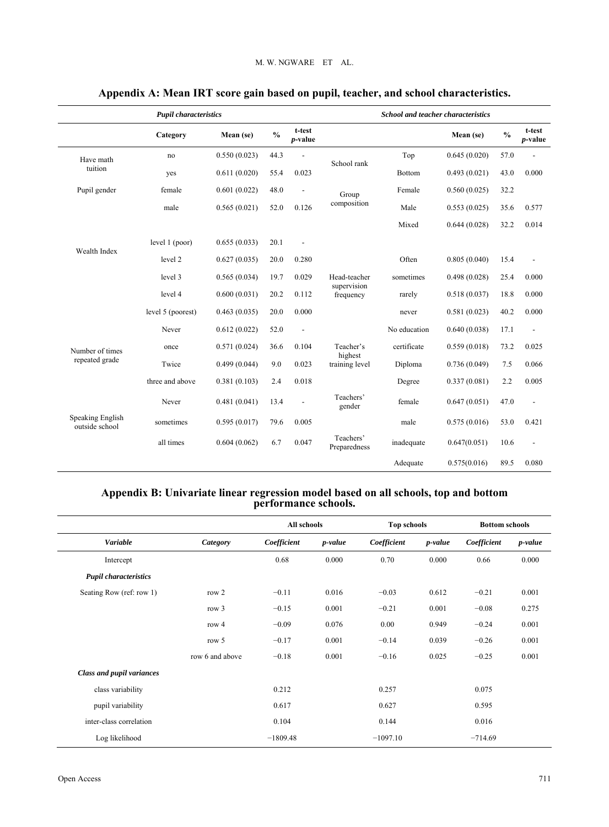| <b>Pupil characteristics</b>       |                   |              |               |                           | <b>School and teacher characteristics</b> |               |              |               |                           |
|------------------------------------|-------------------|--------------|---------------|---------------------------|-------------------------------------------|---------------|--------------|---------------|---------------------------|
|                                    | Category          | Mean (se)    | $\frac{0}{0}$ | t-test<br><i>p</i> -value |                                           |               | Mean (se)    | $\frac{0}{0}$ | t-test<br><i>p</i> -value |
| Have math                          | no                | 0.550(0.023) | 44.3          |                           | School rank                               | Top           | 0.645(0.020) | 57.0          |                           |
| tuition                            | yes               | 0.611(0.020) | 55.4          | 0.023                     |                                           | <b>Bottom</b> | 0.493(0.021) | 43.0          | 0.000                     |
| Pupil gender                       | female            | 0.601(0.022) | 48.0          | ÷,                        | Group                                     | Female        | 0.560(0.025) | 32.2          |                           |
|                                    | male              | 0.565(0.021) | 52.0          | 0.126                     | composition                               | Male          |              | 35.6          | 0.577                     |
|                                    |                   |              |               |                           |                                           | Mixed         | 0.644(0.028) | 32.2          | 0.014                     |
|                                    | level 1 (poor)    | 0.655(0.033) | 20.1          |                           |                                           |               |              |               |                           |
| Wealth Index                       | level 2           | 0.627(0.035) | 20.0          | 0.280                     |                                           | Often         | 0.805(0.040) | 15.4          |                           |
|                                    | level 3           | 0.565(0.034) | 19.7          | 0.029                     | Head-teacher                              | sometimes     | 0.498(0.028) | 25.4          | 0.000                     |
|                                    | level 4           | 0.600(0.031) | 20.2          | 0.112                     | supervision<br>frequency                  | rarely        | 0.518(0.037) | 18.8          | 0.000                     |
|                                    | level 5 (poorest) | 0.463(0.035) | 20.0          | 0.000                     |                                           | never         | 0.581(0.023) | 40.2          | 0.000                     |
|                                    | Never             | 0.612(0.022) | 52.0          | $\overline{\phantom{a}}$  | No education                              |               | 0.640(0.038) | 17.1          |                           |
| Number of times                    | once              | 0.571(0.024) | 36.6          | 0.104                     | Teacher's                                 | certificate   | 0.559(0.018) | 73.2          | 0.025                     |
| repeated grade                     | Twice             | 0.499(0.044) | 9.0           | 0.023                     | highest<br>training level                 | Diploma       | 0.736(0.049) | 7.5           | 0.066                     |
|                                    | three and above   | 0.381(0.103) | 2.4           | 0.018                     |                                           | Degree        | 0.337(0.081) | 2.2           | 0.005                     |
|                                    | Never             | 0.481(0.041) | 13.4          | $\overline{\phantom{a}}$  | Teachers'<br>gender                       | female        | 0.647(0.051) | 47.0          | $\overline{a}$            |
| Speaking English<br>outside school | sometimes         | 0.595(0.017) | 79.6          | 0.005                     |                                           | male          | 0.575(0.016) | 53.0          | 0.421                     |
|                                    | all times         | 0.604(0.062) | 6.7           | 0.047                     | Teachers'<br>Preparedness                 | inadequate    | 0.647(0.051) | 10.6          |                           |
|                                    |                   |              |               |                           |                                           | Adequate      | 0.575(0.016) | 89.5          | 0.080                     |

# **Appendix A: Mean IRT score gain based on pupil, teacher, and school characteristics.**

# **Appendix B: Univariate linear regression model based on all schools, top and bottom performance schools.**

|                              |                 | All schools |         | <b>Top schools</b> |         | <b>Bottom schools</b> |         |
|------------------------------|-----------------|-------------|---------|--------------------|---------|-----------------------|---------|
| Variable                     | Category        | Coefficient | p-value | Coefficient        | p-value | Coefficient           | p-value |
| Intercept                    |                 | 0.68        | 0.000   | 0.70               | 0.000   | 0.66                  | 0.000   |
| <b>Pupil characteristics</b> |                 |             |         |                    |         |                       |         |
| Seating Row (ref: row 1)     | row 2           | $-0.11$     | 0.016   | $-0.03$            | 0.612   | $-0.21$               | 0.001   |
|                              | row $3$         | $-0.15$     | 0.001   | $-0.21$            | 0.001   | $-0.08$               | 0.275   |
|                              | row 4           | $-0.09$     | 0.076   | 0.00               | 0.949   | $-0.24$               | 0.001   |
|                              | row 5           | $-0.17$     | 0.001   | $-0.14$            | 0.039   | $-0.26$               | 0.001   |
|                              | row 6 and above | $-0.18$     | 0.001   | $-0.16$            | 0.025   | $-0.25$               | 0.001   |
| Class and pupil variances    |                 |             |         |                    |         |                       |         |
| class variability            |                 | 0.212       |         | 0.257              |         | 0.075                 |         |
| pupil variability            |                 | 0.617       |         | 0.627              |         | 0.595                 |         |
| inter-class correlation      |                 | 0.104       |         | 0.144              |         | 0.016                 |         |
| Log likelihood               |                 | $-1809.48$  |         | $-1097.10$         |         | $-714.69$             |         |